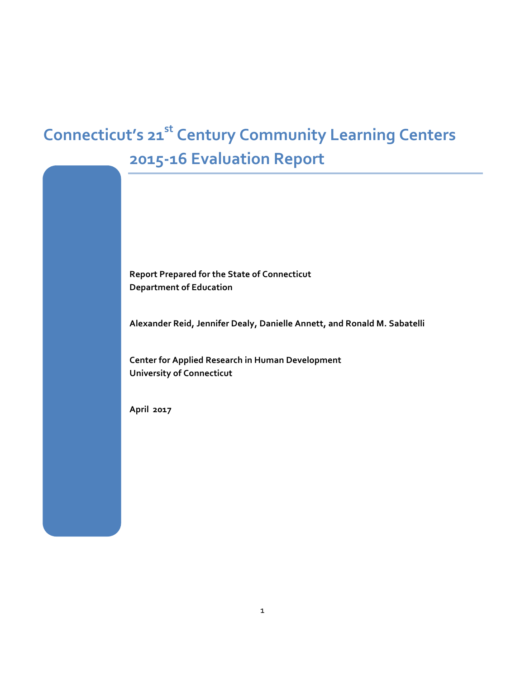# **Connecticut's 21st Century Community Learning Centers 2015-16 Evaluation Report**

**Report Prepared for the State of Connecticut Department of Education**

**Alexander Reid, Jennifer Dealy, Danielle Annett, and Ronald M. Sabatelli**

**Center for Applied Research in Human Development University of Connecticut**

**April 2017**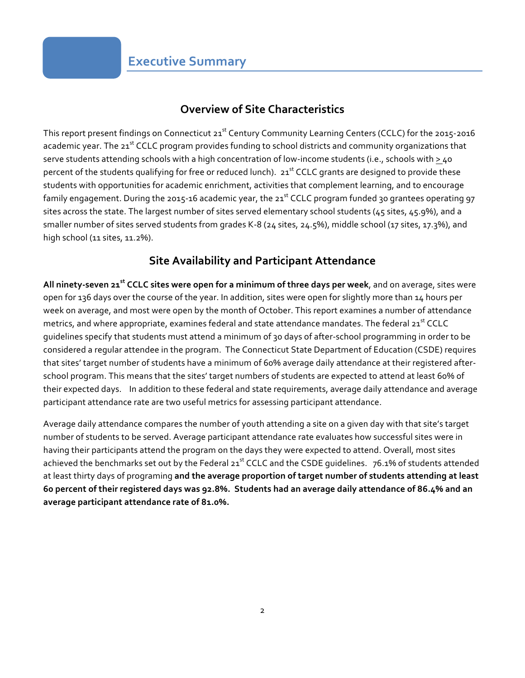#### **Overview of Site Characteristics**

This report present findings on Connecticut  $21^{st}$  Century Community Learning Centers (CCLC) for the 2015-2016 academic year. The 21<sup>st</sup> CCLC program provides funding to school districts and community organizations that serve students attending schools with a high concentration of low-income students (i.e., schools with > 40 percent of the students qualifying for free or reduced lunch). 21<sup>st</sup> CCLC grants are designed to provide these students with opportunities for academic enrichment, activities that complement learning, and to encourage family engagement. During the 2015-16 academic year, the 21<sup>st</sup> CCLC program funded 30 grantees operating 97 sites across the state. The largest number of sites served elementary school students (45 sites, 45.9%), and a smaller number of sites served students from grades K-8 (24 sites, 24.5%), middle school (17 sites, 17.3%), and high school (11 sites, 11.2%).

#### **Site Availability and Participant Attendance**

**All ninety-seven 21st CCLC sites were open for a minimum of three days per week**, and on average, sites were open for 136 days over the course of the year. In addition, sites were open for slightly more than 14 hours per week on average, and most were open by the month of October. This report examines a number of attendance metrics, and where appropriate, examines federal and state attendance mandates. The federal 21<sup>st</sup> CCLC guidelines specify that students must attend a minimum of 30 days of after-school programming in order to be considered a regular attendee in the program. The Connecticut State Department of Education (CSDE) requires that sites' target number of students have a minimum of 60% average daily attendance at their registered afterschool program. This means that the sites' target numbers of students are expected to attend at least 60% of their expected days. In addition to these federal and state requirements, average daily attendance and average participant attendance rate are two useful metrics for assessing participant attendance.

Average daily attendance compares the number of youth attending a site on a given day with that site's target number of students to be served. Average participant attendance rate evaluates how successful sites were in having their participants attend the program on the days they were expected to attend. Overall, most sites achieved the benchmarks set out by the Federal 21<sup>st</sup> CCLC and the CSDE quidelines. 76.1% of students attended at least thirty days of programing **and the average proportion of target number of students attending at least 60 percent of their registered days was 92.8%. Students had an average daily attendance of 86.4% and an average participant attendance rate of 81.0%.**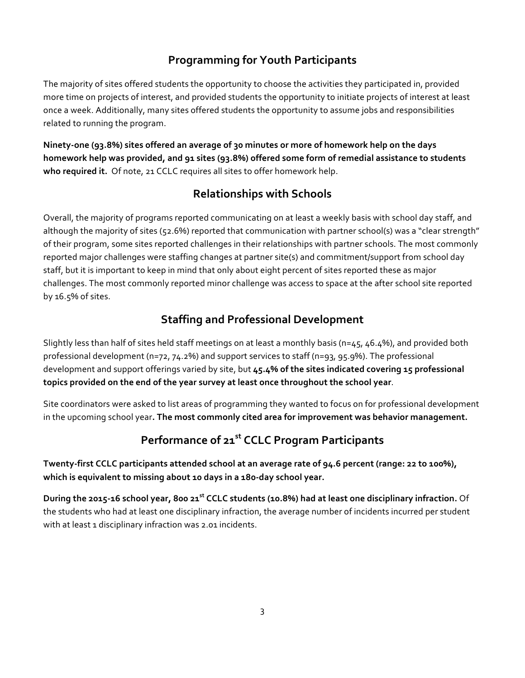### **Programming for Youth Participants**

The majority of sites offered students the opportunity to choose the activities they participated in, provided more time on projects of interest, and provided students the opportunity to initiate projects of interest at least once a week. Additionally, many sites offered students the opportunity to assume jobs and responsibilities related to running the program.

**Ninety-one (93.8%) sites offered an average of 30 minutes or more of homework help on the days homework help was provided, and 91 sites (93.8%) offered some form of remedial assistance to students who required it.** Of note, 21 CCLC requires all sites to offer homework help.

#### **Relationships with Schools**

Overall, the majority of programs reported communicating on at least a weekly basis with school day staff, and although the majority of sites (52.6%) reported that communication with partner school(s) was a "clear strength" of their program, some sites reported challenges in their relationships with partner schools. The most commonly reported major challenges were staffing changes at partner site(s) and commitment/support from school day staff, but it is important to keep in mind that only about eight percent of sites reported these as major challenges. The most commonly reported minor challenge was access to space at the after school site reported by 16.5% of sites.

#### **Staffing and Professional Development**

Slightly less than half of sites held staff meetings on at least a monthly basis (n=45, 46.4%), and provided both professional development (n=72, 74.2%) and support services to staff (n=93, 95.9%). The professional development and support offerings varied by site, but **45.4% of the sites indicated covering 15 professional topics provided on the end of the year survey at least once throughout the school year**.

Site coordinators were asked to list areas of programming they wanted to focus on for professional development in the upcoming school year**. The most commonly cited area for improvement was behavior management.**

### **Performance of 21st CCLC Program Participants**

**Twenty-first CCLC participants attended school at an average rate of 94.6 percent (range: 22 to 100%), which is equivalent to missing about 10 days in a 180-day school year.** 

**During the 2015-16 school year, 800 21st CCLC students (10.8%) had at least one disciplinary infraction.** Of the students who had at least one disciplinary infraction, the average number of incidents incurred per student with at least 1 disciplinary infraction was 2.01 incidents.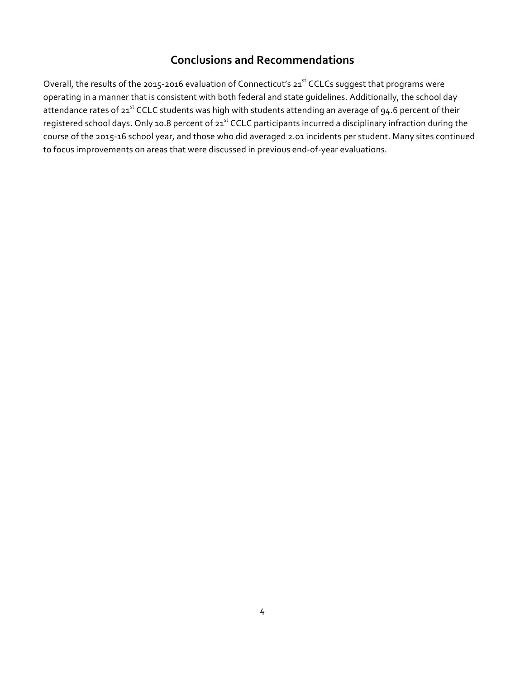#### **Conclusions and Recommendations**

Overall, the results of the 2015-2016 evaluation of Connecticut's 21<sup>st</sup> CCLCs suggest that programs were operating in a manner that is consistent with both federal and state guidelines. Additionally, the school day attendance rates of 21<sup>st</sup> CCLC students was high with students attending an average of 94.6 percent of their registered school days. Only 10.8 percent of 21<sup>st</sup> CCLC participants incurred a disciplinary infraction during the course of the 2015-16 school year, and those who did averaged 2.01 incidents per student. Many sites continued to focus improvements on areas that were discussed in previous end-of-year evaluations.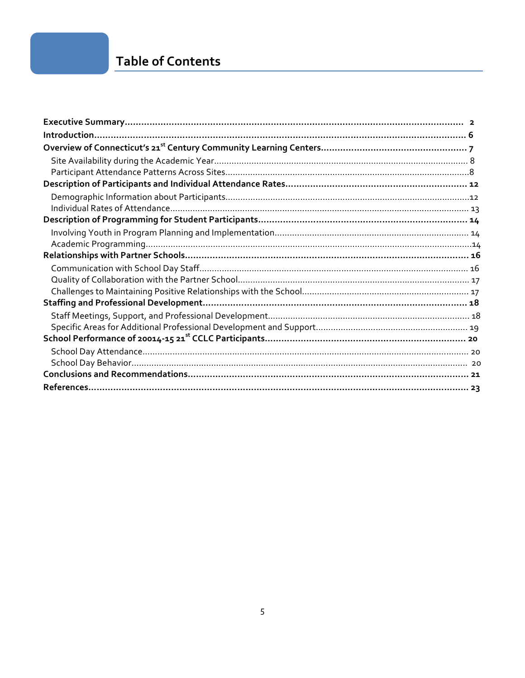# **Table of Contents**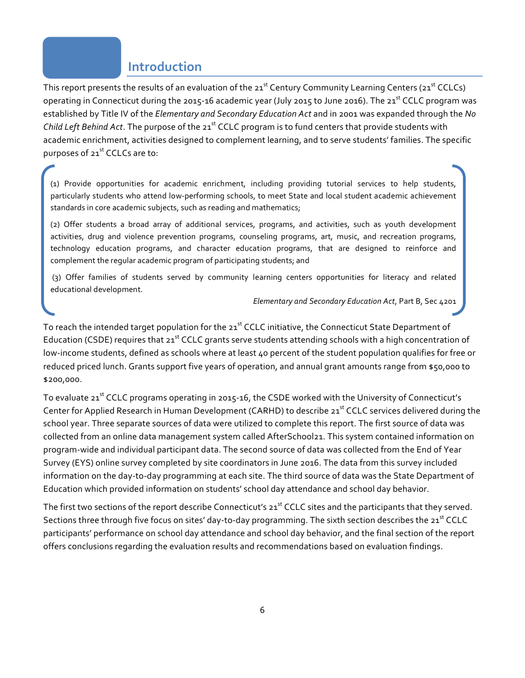#### **Introduction**

This report presents the results of an evaluation of the 21<sup>st</sup> Century Community Learning Centers (21<sup>st</sup> CCLCs) operating in Connecticut during the 2015-16 academic year (July 2015 to June 2016). The 21<sup>st</sup> CCLC program was established by Title IV of the *Elementary and Secondary Education Act* and in 2001 was expanded through the *No*  Child Left Behind Act. The purpose of the 21<sup>st</sup> CCLC program is to fund centers that provide students with academic enrichment, activities designed to complement learning, and to serve students' families. The specific purposes of 21<sup>st</sup> CCLCs are to:

(1) Provide opportunities for academic enrichment, including providing tutorial services to help students, particularly students who attend low-performing schools, to meet State and local student academic achievement standards in core academic subjects, such as reading and mathematics;

(2) Offer students a broad array of additional services, programs, and activities, such as youth development activities, drug and violence prevention programs, counseling programs, art, music, and recreation programs, technology education programs, and character education programs, that are designed to reinforce and complement the regular academic program of participating students; and

(3) Offer families of students served by community learning centers opportunities for literacy and related educational development.

*Elementary and Secondary Education Act*, Part B, Sec 4201

To reach the intended target population for the 21<sup>st</sup> CCLC initiative, the Connecticut State Department of Education (CSDE) requires that  $21^{st}$  CCLC grants serve students attending schools with a high concentration of low-income students, defined as schools where at least 40 percent of the student population qualifies for free or reduced priced lunch. Grants support five years of operation, and annual grant amounts range from \$50,000 to \$200,000.

To evaluate 21<sup>st</sup> CCLC programs operating in 2015-16, the CSDE worked with the University of Connecticut's Center for Applied Research in Human Development (CARHD) to describe 21<sup>st</sup> CCLC services delivered during the school year. Three separate sources of data were utilized to complete this report. The first source of data was collected from an online data management system called AfterSchool21. This system contained information on program-wide and individual participant data. The second source of data was collected from the End of Year Survey (EYS) online survey completed by site coordinators in June 2016. The data from this survey included information on the day-to-day programming at each site. The third source of data was the State Department of Education which provided information on students' school day attendance and school day behavior.

The first two sections of the report describe Connecticut's 21<sup>st</sup> CCLC sites and the participants that they served. Sections three through five focus on sites' day-to-day programming. The sixth section describes the 21<sup>st</sup> CCLC participants' performance on school day attendance and school day behavior, and the final section of the report offers conclusions regarding the evaluation results and recommendations based on evaluation findings.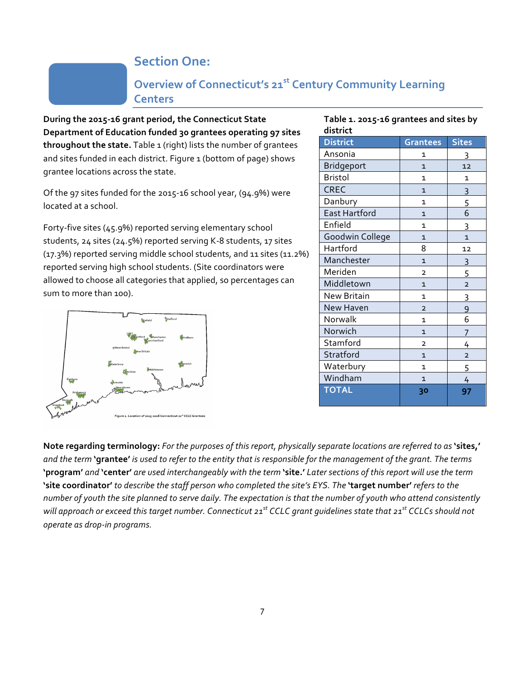#### **Section One:**

### **Overview of Connecticut's 21st Century Community Learning Centers**

**During the 2015-16 grant period, the Connecticut State Department of Education funded 30 grantees operating 97 sites throughout the state.** Table 1 (right) lists the number of grantees and sites funded in each district. Figure 1 (bottom of page) shows grantee locations across the state.

Of the 97 sites funded for the 2015-16 school year, (94.9%) were located at a school.

Forty-five sites (45.9%) reported serving elementary school students, 24 sites (24.5%) reported serving K-8 students, 17 sites (17.3%) reported serving middle school students, and 11 sites (11.2%) reported serving high school students. (Site coordinators were allowed to choose all categories that applied, so percentages can sum to more than 100).



| Table 1. 2015-16 grantees and sites by<br>district |                 |                |  |
|----------------------------------------------------|-----------------|----------------|--|
| <b>District</b>                                    | <b>Grantees</b> | <b>Sites</b>   |  |
| Ansonia                                            | 1               | 3              |  |
| <b>Bridgeport</b>                                  | $\mathbf{1}$    | 12             |  |
| <b>Bristol</b>                                     | $\mathbf{1}$    | 1              |  |
| <b>CREC</b>                                        | $\mathbf{1}$    | 3              |  |
| Danbury                                            | $\mathbf{1}$    | 5              |  |
| <b>East Hartford</b>                               | $\mathbf{1}$    | 6              |  |
| Enfield                                            | $\mathbf{1}$    | 3              |  |
| Goodwin College                                    | $\overline{1}$  | $\overline{1}$ |  |
| Hartford                                           | 8               | 12             |  |
| Manchester                                         | $\overline{1}$  | $\overline{3}$ |  |
| Meriden                                            | 2               | 5              |  |
| Middletown                                         | $\mathbf{1}$    | $\overline{2}$ |  |
| New Britain                                        | 1               | 3              |  |
| New Haven                                          | $\overline{2}$  | 9              |  |
| Norwalk                                            | $\mathbf{1}$    | 6              |  |
| Norwich                                            | $\mathbf{1}$    | 7              |  |
| Stamford                                           | $\overline{2}$  | 4              |  |
| Stratford                                          | $\mathbf{1}$    | $\overline{2}$ |  |
| Waterbury                                          | $\mathbf{1}$    | 5              |  |
| Windham                                            | $\mathbf{1}$    | 4              |  |
| <b>TOTAL</b>                                       | 30              | 97             |  |

**Note regarding terminology:** *For the purposes of this report, physically separate locations are referred to as* **'sites,'** *and the term* **'grantee'** *is used to refer to the entity that is responsible for the management of the grant. The terms*  **'program'** *and* **'center'** *are used interchangeably with the term* **'site.'** *Later sections of this report will use the term*  **'site coordinator'** *to describe the staff person who completed the site's EYS. The* **'target number'** *refers to the number of youth the site planned to serve daily. The expectation is that the number of youth who attend consistently will approach or exceed this target number. Connecticut 21st CCLC grant guidelines state that 21st CCLCs should not operate as drop-in programs.*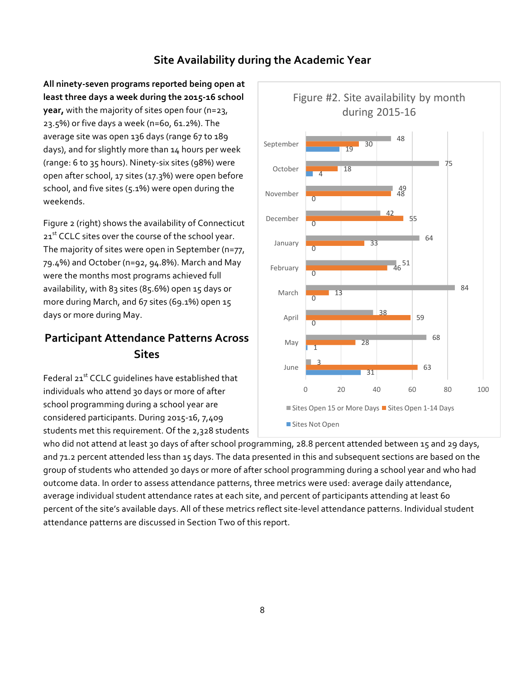#### **Site Availability during the Academic Year**

**All ninety-seven programs reported being open at least three days a week during the 2015-16 school year,** with the majority of sites open four (n=23, 23.5%) or five days a week (n=60, 61.2%). The average site was open 136 days (range 67 to 189 days), and for slightly more than 14 hours per week (range: 6 to 35 hours). Ninety-six sites (98%) were open after school, 17 sites (17.3%) were open before school, and five sites (5.1%) were open during the weekends.

Figure 2 (right) shows the availability of Connecticut 21<sup>st</sup> CCLC sites over the course of the school year. The majority of sites were open in September (n=77, 79.4%) and October (n=92, 94.8%). March and May were the months most programs achieved full availability, with 83 sites (85.6%) open 15 days or more during March, and 67 sites (69.1%) open 15 days or more during May.

### **Participant Attendance Patterns Across Sites**

Federal 21<sup>st</sup> CCLC quidelines have established that individuals who attend 30 days or more of after school programming during a school year are considered participants. During 2015-16, 7,409 students met this requirement. Of the 2,328 students



who did not attend at least 30 days of after school programming, 28.8 percent attended between 15 and 29 days, and 71.2 percent attended less than 15 days. The data presented in this and subsequent sections are based on the group of students who attended 30 days or more of after school programming during a school year and who had outcome data. In order to assess attendance patterns, three metrics were used: average daily attendance, average individual student attendance rates at each site, and percent of participants attending at least 60 percent of the site's available days. All of these metrics reflect site-level attendance patterns. Individual student attendance patterns are discussed in Section Two of this report.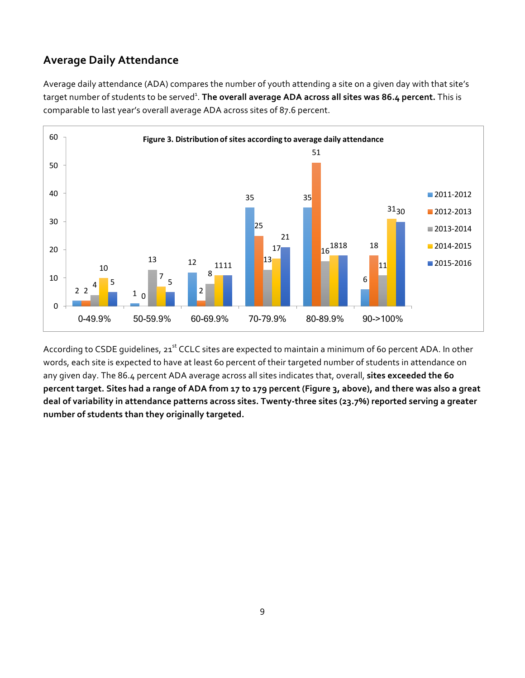#### **Average Daily Attendance**

Average daily attendance (ADA) compares the number of youth attending a site on a given day with that site's target number of students to be served<sup>1</sup>. **The overall average ADA across all sites was 86.4 percent.** This is comparable to last year's overall average ADA across sites of 87.6 percent.



According to CSDE quidelines, 21<sup>st</sup> CCLC sites are expected to maintain a minimum of 60 percent ADA. In other words, each site is expected to have at least 60 percent of their targeted number of students in attendance on any given day. The 86.4 percent ADA average across all sites indicates that, overall, **sites exceeded the 60 percent target. Sites had a range of ADA from 17 to 179 percent (Figure 3, above), and there was also a great deal of variability in attendance patterns across sites. Twenty-three sites (23.7%) reported serving a greater number of students than they originally targeted.**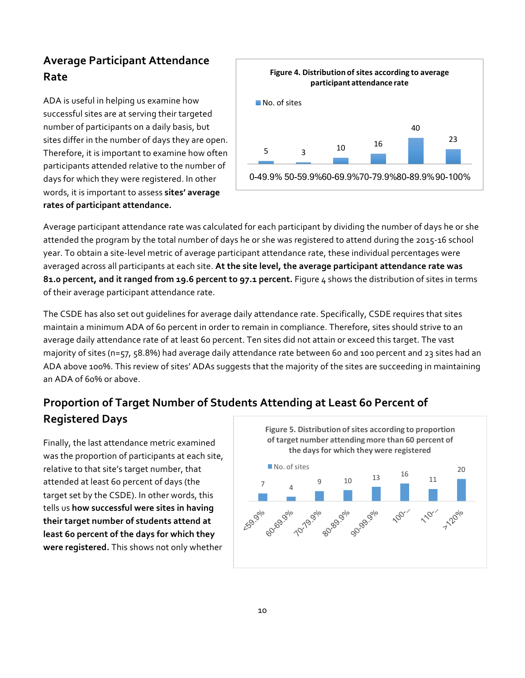### **Average Participant Attendance Rate**

ADA is useful in helping us examine how successful sites are at serving their targeted number of participants on a daily basis, but sites differ in the number of days they are open. Therefore, it is important to examine how often participants attended relative to the number of days for which they were registered. In other words, it is important to assess **sites' average rates of participant attendance.**



Average participant attendance rate was calculated for each participant by dividing the number of days he or she attended the program by the total number of days he or she was registered to attend during the 2015-16 school year. To obtain a site-level metric of average participant attendance rate, these individual percentages were averaged across all participants at each site. **At the site level, the average participant attendance rate was 81.0 percent, and it ranged from 19.6 percent to 97.1 percent.** Figure 4 shows the distribution of sites in terms of their average participant attendance rate.

The CSDE has also set out guidelines for average daily attendance rate. Specifically, CSDE requires that sites maintain a minimum ADA of 60 percent in order to remain in compliance. Therefore, sites should strive to an average daily attendance rate of at least 60 percent. Ten sites did not attain or exceed this target. The vast majority of sites (n=57, 58.8%) had average daily attendance rate between 60 and 100 percent and 23 sites had an ADA above 100%. This review of sites' ADAs suggests that the majority of the sites are succeeding in maintaining an ADA of 60% or above.

## **Proportion of Target Number of Students Attending at Least 60 Percent of Registered Days**

Finally, the last attendance metric examined was the proportion of participants at each site, relative to that site's target number, that attended at least 60 percent of days (the target set by the CSDE). In other words, this tells us **how successful were sites in having their target number of students attend at least 60 percent of the days for which they were registered.** This shows not only whether

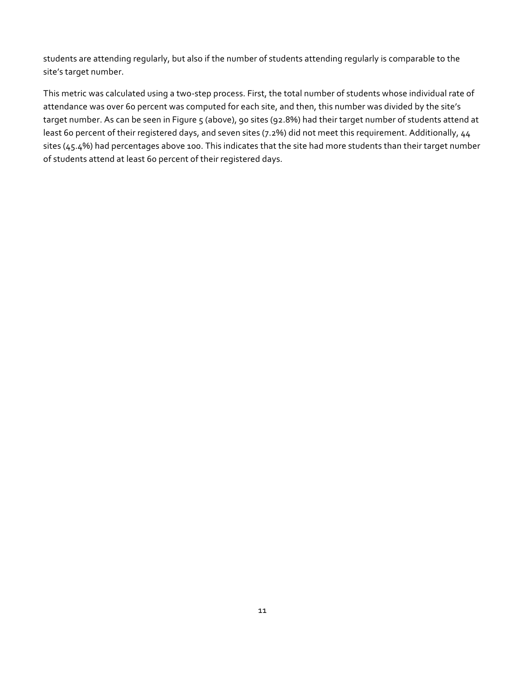students are attending regularly, but also if the number of students attending regularly is comparable to the site's target number.

This metric was calculated using a two-step process. First, the total number of students whose individual rate of attendance was over 60 percent was computed for each site, and then, this number was divided by the site's target number. As can be seen in Figure 5 (above), 90 sites (92.8%) had their target number of students attend at least 60 percent of their registered days, and seven sites (7.2%) did not meet this requirement. Additionally, 44 sites (45.4%) had percentages above 100. This indicates that the site had more students than their target number of students attend at least 60 percent of their registered days.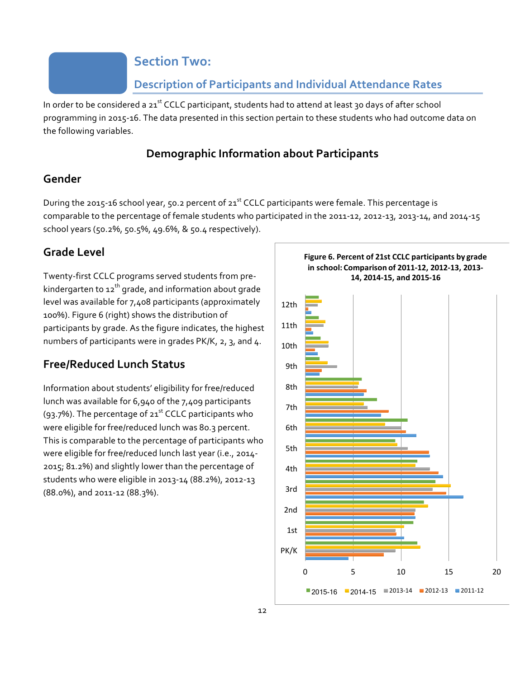#### **Section Two:**

#### **Description of Participants and Individual Attendance Rates**

In order to be considered a 21<sup>st</sup> CCLC participant, students had to attend at least 30 days of after school programming in 2015-16. The data presented in this section pertain to these students who had outcome data on the following variables.

#### **Demographic Information about Participants**

#### **Gender**

During the 2015-16 school year, 50.2 percent of  $21^{st}$  CCLC participants were female. This percentage is comparable to the percentage of female students who participated in the 2011-12, 2012-13, 2013-14, and 2014-15 school years (50.2%, 50.5%, 49.6%, & 50.4 respectively).

#### **Grade Level**

Twenty-first CCLC programs served students from prekindergarten to  $12<sup>th</sup>$  grade, and information about grade level was available for 7,408 participants (approximately 100%). Figure 6 (right) shows the distribution of participants by grade. As the figure indicates, the highest numbers of participants were in grades PK/K, 2, 3, and 4.

#### **Free/Reduced Lunch Status**

Information about students' eligibility for free/reduced lunch was available for 6,940 of the 7,409 participants (93.7%). The percentage of  $21^{st}$  CCLC participants who were eligible for free/reduced lunch was 80.3 percent. This is comparable to the percentage of participants who were eligible for free/reduced lunch last year (i.e., 2014- 2015; 81.2%) and slightly lower than the percentage of students who were eligible in 2013-14 (88.2%), 2012-13 (88.0%), and 2011-12 (88.3%).



**Figure 6. Percent of 21st CCLC participants by grade**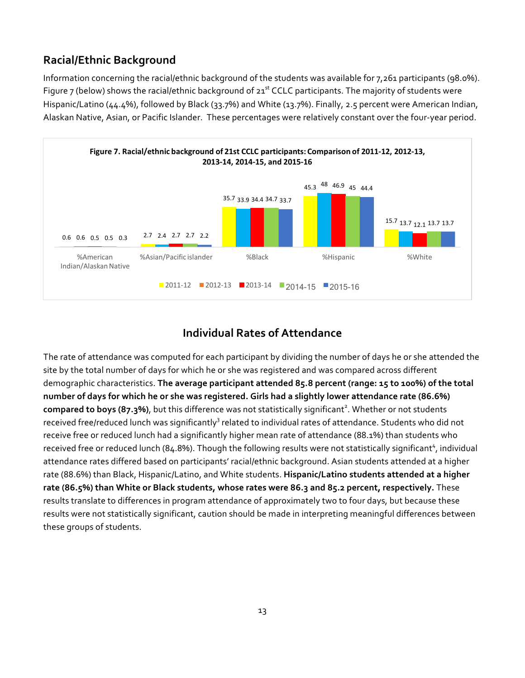#### **Racial/Ethnic Background**

Information concerning the racial/ethnic background of the students was available for 7,261 participants (98.0%). Figure 7 (below) shows the racial/ethnic background of  $21^{st}$  CCLC participants. The majority of students were Hispanic/Latino (44.4%), followed by Black (33.7%) and White (13.7%). Finally, 2.5 percent were American Indian, Alaskan Native, Asian, or Pacific Islander. These percentages were relatively constant over the four-year period.



#### **Individual Rates of Attendance**

The rate of attendance was computed for each participant by dividing the number of days he or she attended the site by the total number of days for which he or she was registered and was compared across different demographic characteristics. **The average participant attended 85.8 percent (range: 15 to 100%) of the total number of days for which he or she was registered. Girls had a slightly lower attendance rate (86.6%)**  compared to boys (87.3%), but this difference was not statistically significant<sup>2</sup>. Whether or not students received free/reduced lunch was significantly<sup>3</sup> related to individual rates of attendance. Students who did not receive free or reduced lunch had a significantly higher mean rate of attendance (88.1%) than students who received free or reduced lunch (84.8%). Though the following results were not statistically significant<sup>4</sup>, individual attendance rates differed based on participants' racial/ethnic background. Asian students attended at a higher rate (88.6%) than Black, Hispanic/Latino, and White students. **Hispanic/Latino students attended at a higher rate (86.5%) than White or Black students, whose rates were 86.3 and 85.2 percent, respectively.** These results translate to differences in program attendance of approximately two to four days, but because these results were not statistically significant, caution should be made in interpreting meaningful differences between these groups of students.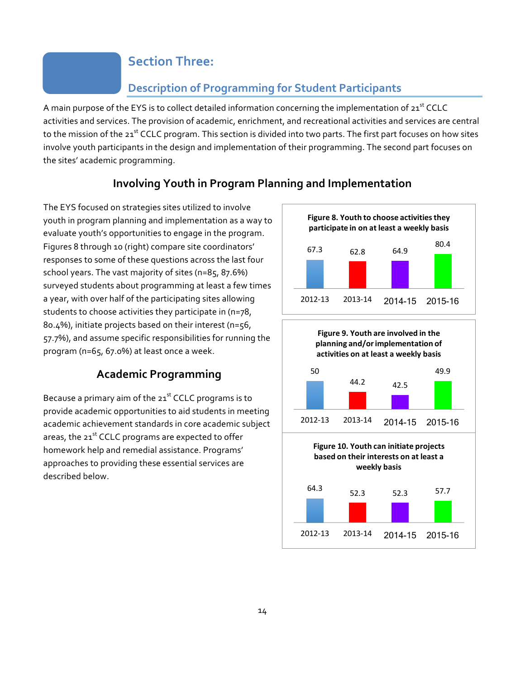#### **Section Three:**

### **Description of Programming for Student Participants**

A main purpose of the EYS is to collect detailed information concerning the implementation of 21 $^{\rm{st}}$  CCLC activities and services. The provision of academic, enrichment, and recreational activities and services are central to the mission of the 21<sup>st</sup> CCLC program. This section is divided into two parts. The first part focuses on how sites involve youth participants in the design and implementation of their programming. The second part focuses on the sites' academic programming.

#### **Involving Youth in Program Planning and Implementation**

The EYS focused on strategies sites utilized to involve youth in program planning and implementation as a way to evaluate youth's opportunities to engage in the program. Figures 8 through 10 (right) compare site coordinators' responses to some of these questions across the last four school years. The vast majority of sites (n=85, 87.6%) surveyed students about programming at least a few times a year, with over half of the participating sites allowing students to choose activities they participate in (n=78, 80.4%), initiate projects based on their interest (n=56, 57.7%), and assume specific responsibilities for running the program (n=65, 67.0%) at least once a week.

#### **Academic Programming**

Because a primary aim of the 21<sup>st</sup> CCLC programs is to provide academic opportunities to aid students in meeting academic achievement standards in core academic subject areas, the 21<sup>st</sup> CCLC programs are expected to offer homework help and remedial assistance. Programs' approaches to providing these essential services are described below.

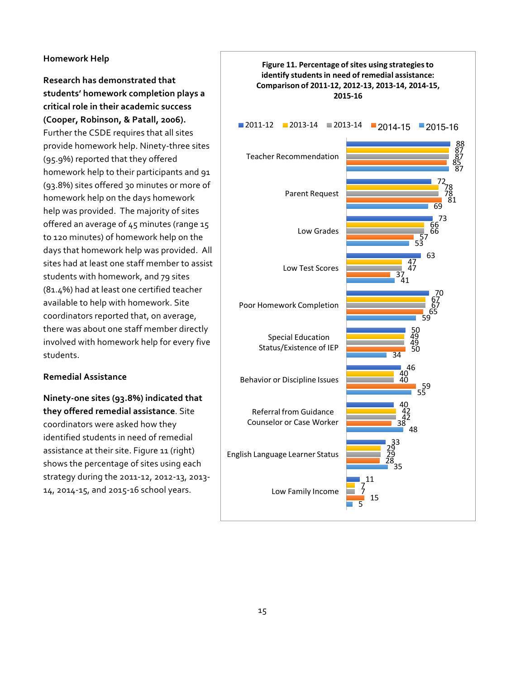#### **Homework Help**

**Research has demonstrated that students' homework completion plays a critical role in their academic success (Cooper, Robinson, & Patall, 2006).**  Further the CSDE requires that all sites provide homework help. Ninety-three sites (95.9%) reported that they offered homework help to their participants and 91 (93.8%) sites offered 30 minutes or more of homework help on the days homework help was provided. The majority of sites offered an average of 45 minutes (range 15 to 120 minutes) of homework help on the days that homework help was provided. All sites had at least one staff member to assist students with homework, and 79 sites (81.4%) had at least one certified teacher available to help with homework. Site coordinators reported that, on average, there was about one staff member directly involved with homework help for every five students.

#### **Remedial Assistance**

**Ninety-one sites (93.8%) indicated that they offered remedial assistance**. Site coordinators were asked how they identified students in need of remedial assistance at their site. Figure 11 (right) shows the percentage of sites using each strategy during the 2011-12, 2012-13, 2013- 14, 2014-15, and 2015-16 school years.

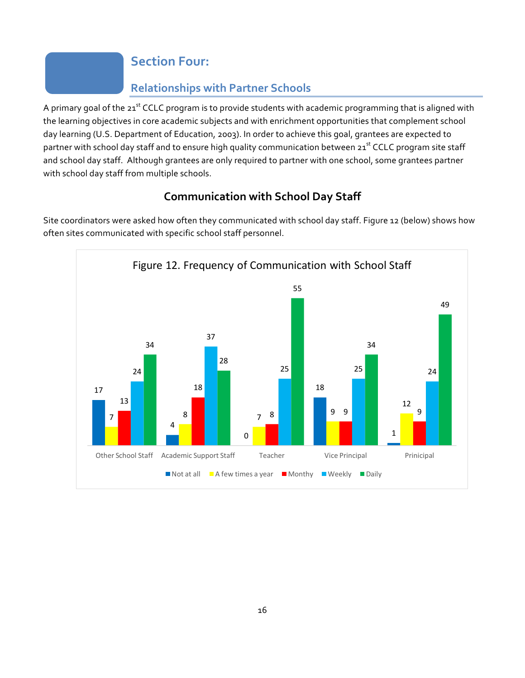### **Section Four:**

### **Relationships with Partner Schools**

A primary goal of the 21<sup>st</sup> CCLC program is to provide students with academic programming that is aligned with the learning objectives in core academic subjects and with enrichment opportunities that complement school day learning (U.S. Department of Education, 2003). In order to achieve this goal, grantees are expected to partner with school day staff and to ensure high quality communication between 21<sup>st</sup> CCLC program site staff and school day staff. Although grantees are only required to partner with one school, some grantees partner with school day staff from multiple schools.

### **Communication with School Day Staff**

Site coordinators were asked how often they communicated with school day staff. Figure 12 (below) shows how often sites communicated with specific school staff personnel.

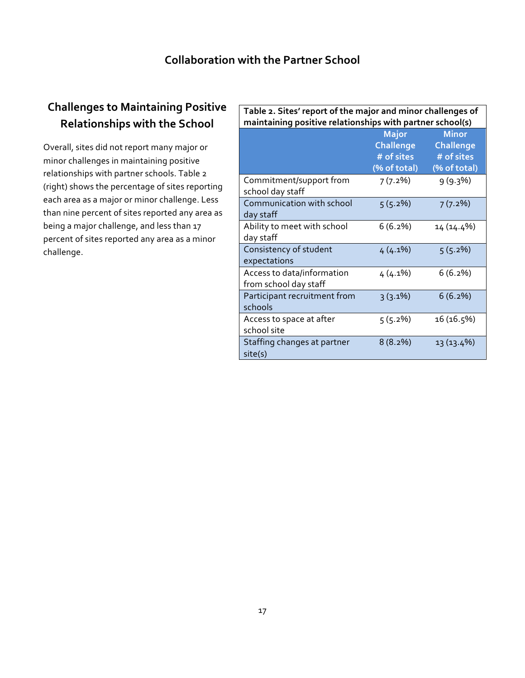### **Collaboration with the Partner School**

### **Challenges to Maintaining Positive Relationships with the School**

Overall, sites did not report many major or minor challenges in maintaining positive relationships with partner schools. Table 2 (right) shows the percentage of sites reporting each area as a major or minor challenge. Less than nine percent of sites reported any area as being a major challenge, and less than 17 percent of sites reported any area as a minor challenge.

| Table 2. Sites' report of the major and minor challenges of<br>maintaining positive relationships with partner school(s) |                                                                |                                                         |  |  |
|--------------------------------------------------------------------------------------------------------------------------|----------------------------------------------------------------|---------------------------------------------------------|--|--|
|                                                                                                                          | <b>Major</b><br><b>Challenge</b><br># of sites<br>(% of total) | <b>Minor</b><br>Challenge<br># of sites<br>(% of total) |  |  |
| Commitment/support from<br>school day staff                                                                              | 7(7.2%)                                                        | 9(9.3%)                                                 |  |  |
| Communication with school<br>day staff                                                                                   | 5(5.2%)                                                        | 7(7.2%)                                                 |  |  |
| Ability to meet with school<br>day staff                                                                                 | 6(6.2%)                                                        | 14 (14.4%)                                              |  |  |
| Consistency of student<br>expectations                                                                                   | $4(4.1\%)$                                                     | 5(5.2%)                                                 |  |  |
| Access to data/information<br>from school day staff                                                                      | $4(4.1\%)$                                                     | 6(6.2%)                                                 |  |  |
| Participant recruitment from<br>schools                                                                                  | $3(3.1\%)$                                                     | 6(6.2%)                                                 |  |  |
| Access to space at after<br>school site                                                                                  | 5(5.2%)                                                        | 16 (16.5%)                                              |  |  |
| Staffing changes at partner<br>site(s)                                                                                   | 8(8.2%)                                                        | 13 (13.4%)                                              |  |  |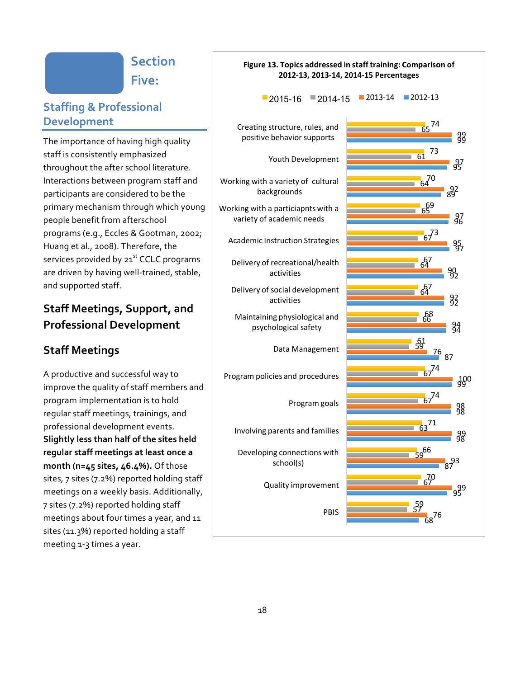### **Section**

**Five:**

#### **Staffing & Professional Development**

The importance of having high quality staff is consistently emphasized throughout the after school literature. Interactions between program staff and participants are considered to be the primary mechanism through which young people benefit from afterschool programs (e.g., Eccles & Gootman, 2002; Huang et al., 2008). Therefore, the services provided by 21<sup>st</sup> CCLC programs are driven by having well-trained, stable, and supported staff.

### **Staff Meetings, Support, and Professional Development**

### **Staff Meetings**

A productive and successful way to improve the quality of staff members and program implementation is to hold regular staff meetings, trainings, and professional development events. **Slightly less than half of the sites held regular staff meetings at least once a month (n=45 sites, 46.4%).** Of those sites, 7 sites (7.2%) reported holding staff meetings on a weekly basis. Additionally, 7 sites (7.2%) reported holding staff meetings about four times a year, and 11 sites (11.3%) reported holding a staff meeting 1-3 times a year.

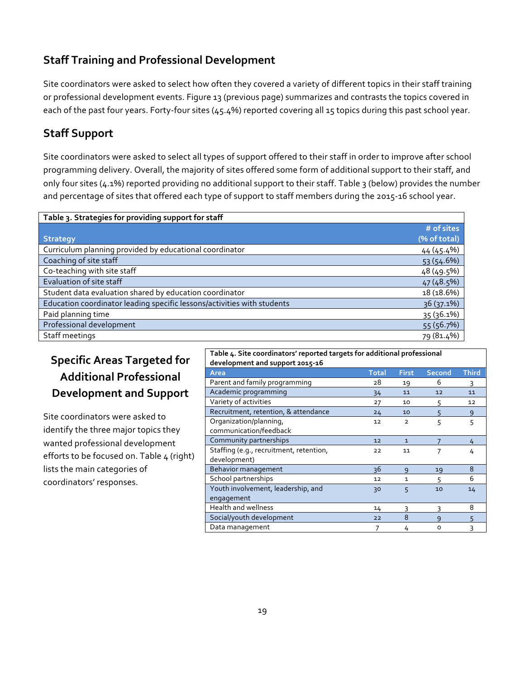### **Staff Training and Professional Development**

Site coordinators were asked to select how often they covered a variety of different topics in their staff training or professional development events. Figure 13 (previous page) summarizes and contrasts the topics covered in each of the past four years. Forty-four sites (45.4%) reported covering all 15 topics during this past school year.

### **Staff Support**

Site coordinators were asked to select all types of support offered to their staff in order to improve after school programming delivery. Overall, the majority of sites offered some form of additional support to their staff, and only four sites (4.1%) reported providing no additional support to their staff. Table 3 (below) provides the number and percentage of sites that offered each type of support to staff members during the 2015-16 school year.

| Table 3. Strategies for providing support for staff                     |              |
|-------------------------------------------------------------------------|--------------|
|                                                                         | # of sites   |
| <b>Strategy</b>                                                         | (% of total) |
| Curriculum planning provided by educational coordinator                 | 44 (45.4%)   |
| Coaching of site staff                                                  | 53 (54.6%)   |
| Co-teaching with site staff                                             | 48 (49.5%)   |
| Evaluation of site staff                                                | 47(48.5%)    |
| Student data evaluation shared by education coordinator                 | 18 (18.6%)   |
| Education coordinator leading specific lessons/activities with students | 36(37.1%)    |
| Paid planning time                                                      | 35 (36.1%)   |
| Professional development                                                | 55 (56.7%)   |
| Staff meetings                                                          | 79 (81.4%)   |

### **Specific Areas Targeted for Additional Professional Development and Support**

Site coordinators were asked to identify the three major topics they wanted professional development efforts to be focused on. Table  $4$  (right) lists the main categories of coordinators' responses.

| Table 4. Site coordinators' reported targets for additional professional<br>development and support 2015-16 |              |                |               |              |  |
|-------------------------------------------------------------------------------------------------------------|--------------|----------------|---------------|--------------|--|
| Area                                                                                                        | <b>Total</b> | <b>First</b>   | <b>Second</b> | <b>Third</b> |  |
| Parent and family programming                                                                               | 28           | 19             | 6             | 3            |  |
| Academic programming                                                                                        | 34           | 11             | 12            | 11           |  |
| Variety of activities                                                                                       | 27           | 10             | 5             | 12           |  |
| Recruitment, retention, & attendance                                                                        | 24           | 10             | 5             | 9            |  |
| Organization/planning,                                                                                      | 12           | $\overline{2}$ | 5             | 5            |  |
| communication/feedback                                                                                      |              |                |               |              |  |
| Community partnerships                                                                                      | 12           | $\mathbf{1}$   |               | 4            |  |
| Staffing (e.g., recruitment, retention,                                                                     | 22           | 11             | 7             | 4            |  |
| development)                                                                                                |              |                |               |              |  |
| Behavior management                                                                                         | 36           | $\mathsf{q}$   | 19            | 8            |  |
| School partnerships                                                                                         | 12           | 1              | 5             | 6            |  |
| Youth involvement, leadership, and                                                                          | 30           | 5              | 10            | 14           |  |
| engagement                                                                                                  |              |                |               |              |  |
| <b>Health and wellness</b>                                                                                  | 14           | 3              | 3             | 8            |  |
| Social/youth development                                                                                    | 22           | 8              | 9             | 5            |  |
| Data management                                                                                             | 7            | 4              | o             | 3            |  |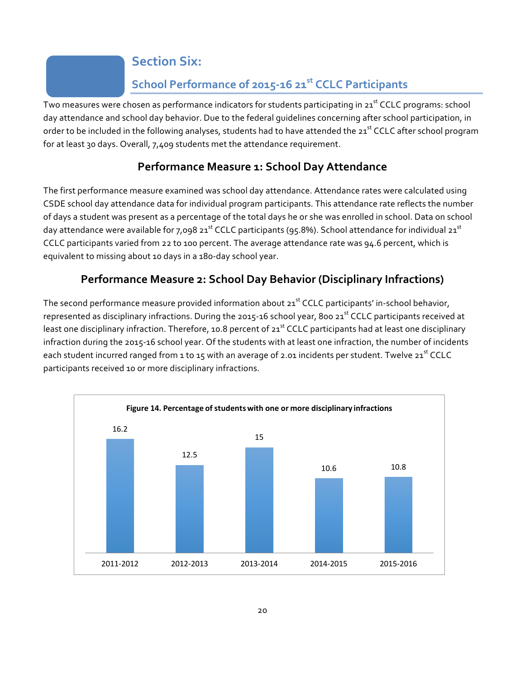#### **Section Six:**

### **School Performance of 2015-16 21st CCLC Participants**

Two measures were chosen as performance indicators for students participating in 21<sup>st</sup> CCLC programs: school day attendance and school day behavior. Due to the federal guidelines concerning after school participation, in order to be included in the following analyses, students had to have attended the 21<sup>st</sup> CCLC after school program for at least 30 days. Overall, 7,409 students met the attendance requirement.

#### **Performance Measure 1: School Day Attendance**

The first performance measure examined was school day attendance. Attendance rates were calculated using CSDE school day attendance data for individual program participants. This attendance rate reflects the number of days a student was present as a percentage of the total days he or she was enrolled in school. Data on school day attendance were available for 7,098 21<sup>st</sup> CCLC participants (95.8%). School attendance for individual 21<sup>st</sup> CCLC participants varied from 22 to 100 percent. The average attendance rate was 94.6 percent, which is equivalent to missing about 10 days in a 180-day school year.

#### **Performance Measure 2: School Day Behavior (Disciplinary Infractions)**

The second performance measure provided information about 21<sup>st</sup> CCLC participants' in-school behavior, represented as disciplinary infractions. During the 2015-16 school year, 800 21<sup>st</sup> CCLC participants received at least one disciplinary infraction. Therefore, 10.8 percent of  $21^{st}$  CCLC participants had at least one disciplinary infraction during the 2015-16 school year. Of the students with at least one infraction, the number of incidents each student incurred ranged from 1 to 15 with an average of 2.01 incidents per student. Twelve 21<sup>st</sup> CCLC participants received 10 or more disciplinary infractions.

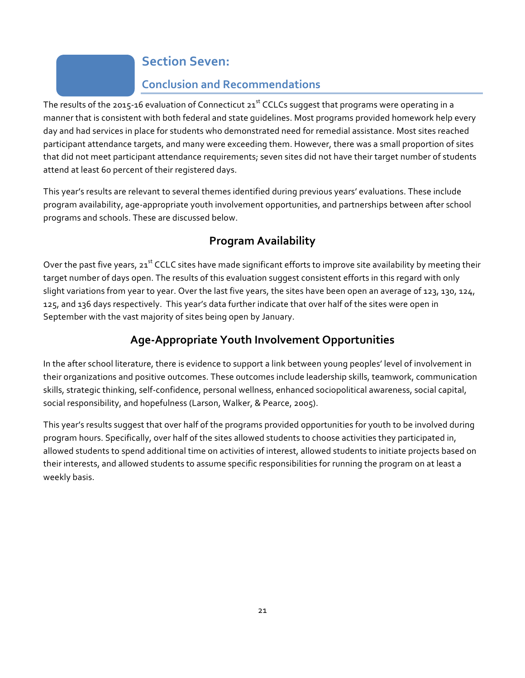### **Section Seven:**

### **Conclusion and Recommendations**

The results of the 2015-16 evaluation of Connecticut  $21^{st}$  CCLCs suggest that programs were operating in a manner that is consistent with both federal and state guidelines. Most programs provided homework help every day and had services in place for students who demonstrated need for remedial assistance. Most sites reached participant attendance targets, and many were exceeding them. However, there was a small proportion of sites that did not meet participant attendance requirements; seven sites did not have their target number of students attend at least 60 percent of their registered days.

This year's results are relevant to several themes identified during previous years' evaluations. These include program availability, age-appropriate youth involvement opportunities, and partnerships between after school programs and schools. These are discussed below.

### **Program Availability**

Over the past five years, 21<sup>st</sup> CCLC sites have made significant efforts to improve site availability by meeting their target number of days open. The results of this evaluation suggest consistent efforts in this regard with only slight variations from year to year. Over the last five years, the sites have been open an average of 123, 130, 124, 125, and 136 days respectively. This year's data further indicate that over half of the sites were open in September with the vast majority of sites being open by January.

### **Age-Appropriate Youth Involvement Opportunities**

In the after school literature, there is evidence to support a link between young peoples' level of involvement in their organizations and positive outcomes. These outcomes include leadership skills, teamwork, communication skills, strategic thinking, self-confidence, personal wellness, enhanced sociopolitical awareness, social capital, social responsibility, and hopefulness (Larson, Walker, & Pearce, 2005).

This year's results suggest that over half of the programs provided opportunities for youth to be involved during program hours. Specifically, over half of the sites allowed students to choose activities they participated in, allowed students to spend additional time on activities of interest, allowed students to initiate projects based on their interests, and allowed students to assume specific responsibilities for running the program on at least a weekly basis.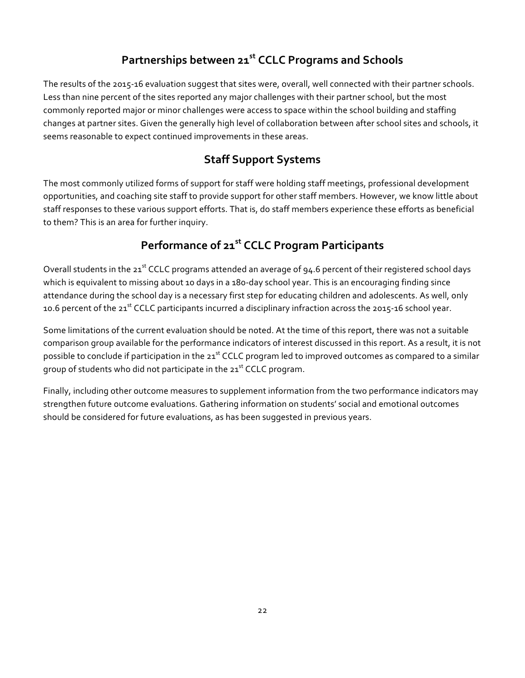### **Partnerships between 21st CCLC Programs and Schools**

The results of the 2015-16 evaluation suggest that sites were, overall, well connected with their partner schools. Less than nine percent of the sites reported any major challenges with their partner school, but the most commonly reported major or minor challenges were access to space within the school building and staffing changes at partner sites. Given the generally high level of collaboration between after school sites and schools, it seems reasonable to expect continued improvements in these areas.

### **Staff Support Systems**

The most commonly utilized forms of support for staff were holding staff meetings, professional development opportunities, and coaching site staff to provide support for other staff members. However, we know little about staff responses to these various support efforts. That is, do staff members experience these efforts as beneficial to them? This is an area for further inquiry.

# **Performance of 21st CCLC Program Participants**

Overall students in the 21<sup>st</sup> CCLC programs attended an average of 94.6 percent of their registered school days which is equivalent to missing about 10 days in a 180-day school year. This is an encouraging finding since attendance during the school day is a necessary first step for educating children and adolescents. As well, only 10.6 percent of the 21<sup>st</sup> CCLC participants incurred a disciplinary infraction across the 2015-16 school year.

Some limitations of the current evaluation should be noted. At the time of this report, there was not a suitable comparison group available for the performance indicators of interest discussed in this report. As a result, it is not possible to conclude if participation in the 21<sup>st</sup> CCLC program led to improved outcomes as compared to a similar group of students who did not participate in the 21<sup>st</sup> CCLC program.

Finally, including other outcome measures to supplement information from the two performance indicators may strengthen future outcome evaluations. Gathering information on students' social and emotional outcomes should be considered for future evaluations, as has been suggested in previous years.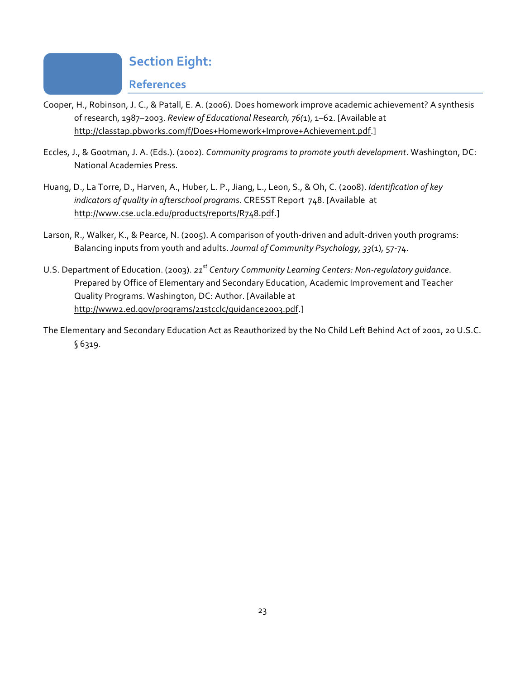#### **Section Eight:**

#### **References**

- Cooper, H., Robinson, J. C., & Patall, E. A. (2006). Does homework improve academic achievement? A synthesis of research, 1987–2003. *Review of Educational Research, 76(*1), 1–62. [Available at http://classtap.pbworks.com/f/Does+Homework+Improve+Achievement.pdf.]
- Eccles, J., & Gootman, J. A. (Eds.). (2002). *Community programs to promote youth development*. Washington, DC: National Academies Press.
- Huang, D., La Torre, D., Harven, A., Huber, L. P., Jiang, L., Leon, S., & Oh, C. (2008). *Identification of key indicators of quality in afterschool programs*. CRESST Report 748. [Available at http://www.cse.ucla.edu/products/reports/R748.pdf.]
- Larson, R., Walker, K., & Pearce, N. (2005). A comparison of youth-driven and adult-driven youth programs: Balancing inputs from youth and adults. *Journal of Community Psychology, 33*(1), 57-74.
- U.S. Department of Education. (2003). *21st Century Community Learning Centers: Non-regulatory guidance*. Prepared by Office of Elementary and Secondary Education, Academic Improvement and Teacher Quality Programs. Washington, DC: Author. [Available at http://www2.ed.gov/programs/21stcclc/guidance2003.pdf.]
- The Elementary and Secondary Education Act as Reauthorized by the No Child Left Behind Act of 2001, 20 U.S.C. § 6319.